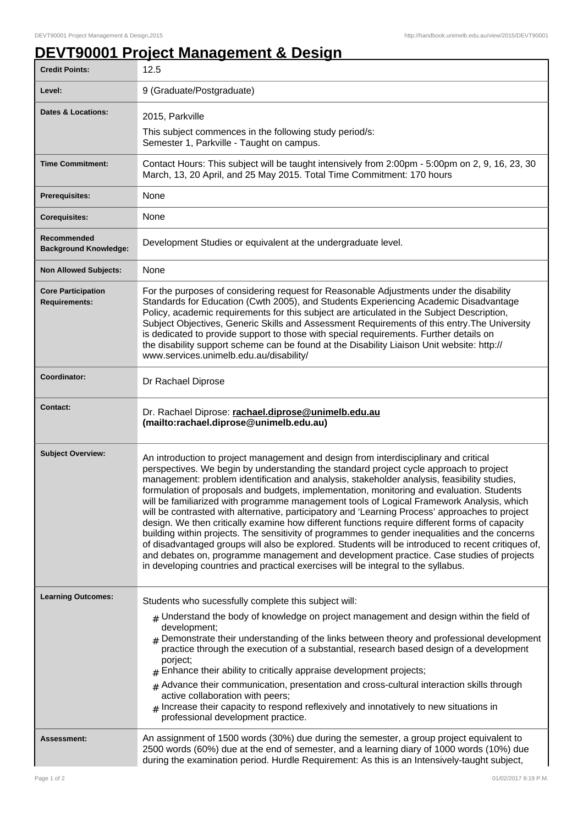## **DEVT90001 Project Management & Design**

| <b>Credit Points:</b>                             | 12.5                                                                                                                                                                                                                                                                                                                                                                                                                                                                                                                                                                                                                                                                                                                                                                                                                                                                                                                                                                                                                                                                  |
|---------------------------------------------------|-----------------------------------------------------------------------------------------------------------------------------------------------------------------------------------------------------------------------------------------------------------------------------------------------------------------------------------------------------------------------------------------------------------------------------------------------------------------------------------------------------------------------------------------------------------------------------------------------------------------------------------------------------------------------------------------------------------------------------------------------------------------------------------------------------------------------------------------------------------------------------------------------------------------------------------------------------------------------------------------------------------------------------------------------------------------------|
| Level:                                            | 9 (Graduate/Postgraduate)                                                                                                                                                                                                                                                                                                                                                                                                                                                                                                                                                                                                                                                                                                                                                                                                                                                                                                                                                                                                                                             |
| <b>Dates &amp; Locations:</b>                     | 2015, Parkville                                                                                                                                                                                                                                                                                                                                                                                                                                                                                                                                                                                                                                                                                                                                                                                                                                                                                                                                                                                                                                                       |
|                                                   | This subject commences in the following study period/s:<br>Semester 1, Parkville - Taught on campus.                                                                                                                                                                                                                                                                                                                                                                                                                                                                                                                                                                                                                                                                                                                                                                                                                                                                                                                                                                  |
| <b>Time Commitment:</b>                           | Contact Hours: This subject will be taught intensively from 2:00pm - 5:00pm on 2, 9, 16, 23, 30<br>March, 13, 20 April, and 25 May 2015. Total Time Commitment: 170 hours                                                                                                                                                                                                                                                                                                                                                                                                                                                                                                                                                                                                                                                                                                                                                                                                                                                                                             |
| <b>Prerequisites:</b>                             | None                                                                                                                                                                                                                                                                                                                                                                                                                                                                                                                                                                                                                                                                                                                                                                                                                                                                                                                                                                                                                                                                  |
| <b>Corequisites:</b>                              | None                                                                                                                                                                                                                                                                                                                                                                                                                                                                                                                                                                                                                                                                                                                                                                                                                                                                                                                                                                                                                                                                  |
| Recommended<br><b>Background Knowledge:</b>       | Development Studies or equivalent at the undergraduate level.                                                                                                                                                                                                                                                                                                                                                                                                                                                                                                                                                                                                                                                                                                                                                                                                                                                                                                                                                                                                         |
| <b>Non Allowed Subjects:</b>                      | None                                                                                                                                                                                                                                                                                                                                                                                                                                                                                                                                                                                                                                                                                                                                                                                                                                                                                                                                                                                                                                                                  |
| <b>Core Participation</b><br><b>Requirements:</b> | For the purposes of considering request for Reasonable Adjustments under the disability<br>Standards for Education (Cwth 2005), and Students Experiencing Academic Disadvantage<br>Policy, academic requirements for this subject are articulated in the Subject Description,<br>Subject Objectives, Generic Skills and Assessment Requirements of this entry. The University<br>is dedicated to provide support to those with special requirements. Further details on<br>the disability support scheme can be found at the Disability Liaison Unit website: http://<br>www.services.unimelb.edu.au/disability/                                                                                                                                                                                                                                                                                                                                                                                                                                                      |
| Coordinator:                                      | Dr Rachael Diprose                                                                                                                                                                                                                                                                                                                                                                                                                                                                                                                                                                                                                                                                                                                                                                                                                                                                                                                                                                                                                                                    |
| <b>Contact:</b>                                   | Dr. Rachael Diprose: rachael.diprose@unimelb.edu.au<br>(mailto:rachael.diprose@unimelb.edu.au)                                                                                                                                                                                                                                                                                                                                                                                                                                                                                                                                                                                                                                                                                                                                                                                                                                                                                                                                                                        |
| <b>Subject Overview:</b>                          | An introduction to project management and design from interdisciplinary and critical<br>perspectives. We begin by understanding the standard project cycle approach to project<br>management: problem identification and analysis, stakeholder analysis, feasibility studies,<br>formulation of proposals and budgets, implementation, monitoring and evaluation. Students<br>will be familiarized with programme management tools of Logical Framework Analysis, which<br>will be contrasted with alternative, participatory and 'Learning Process' approaches to project<br>design. We then critically examine how different functions require different forms of capacity<br>building within projects. The sensitivity of programmes to gender inequalities and the concerns<br>of disadvantaged groups will also be explored. Students will be introduced to recent critiques of,<br>and debates on, programme management and development practice. Case studies of projects<br>in developing countries and practical exercises will be integral to the syllabus. |
| <b>Learning Outcomes:</b>                         | Students who sucessfully complete this subject will:                                                                                                                                                                                                                                                                                                                                                                                                                                                                                                                                                                                                                                                                                                                                                                                                                                                                                                                                                                                                                  |
|                                                   | $#$ Understand the body of knowledge on project management and design within the field of<br>development;<br>Demonstrate their understanding of the links between theory and professional development<br>practice through the execution of a substantial, research based design of a development<br>porject;<br>Enhance their ability to critically appraise development projects;<br>$#$ Advance their communication, presentation and cross-cultural interaction skills through<br>active collaboration with peers;<br>$_{\rm H}$ Increase their capacity to respond reflexively and innotatively to new situations in<br>professional development practice.                                                                                                                                                                                                                                                                                                                                                                                                        |
| Assessment:                                       | An assignment of 1500 words (30%) due during the semester, a group project equivalent to<br>2500 words (60%) due at the end of semester, and a learning diary of 1000 words (10%) due<br>during the examination period. Hurdle Requirement: As this is an Intensively-taught subject,                                                                                                                                                                                                                                                                                                                                                                                                                                                                                                                                                                                                                                                                                                                                                                                 |